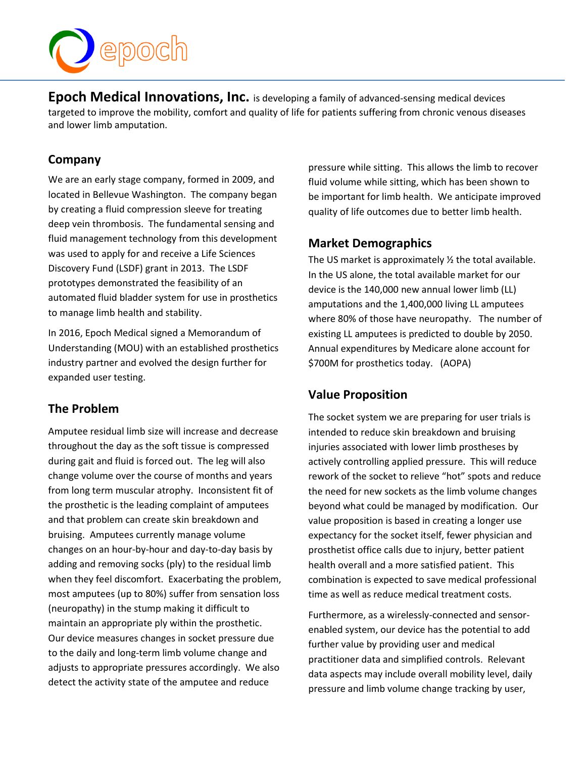

**Epoch Medical Innovations, Inc.** is developing a family of advanced-sensing medical devices targeted to improve the mobility, comfort and quality of life for patients suffering from chronic venous diseases and lower limb amputation.

### **Company**

We are an early stage company, formed in 2009, and located in Bellevue Washington. The company began by creating a fluid compression sleeve for treating deep vein thrombosis. The fundamental sensing and fluid management technology from this development was used to apply for and receive a Life Sciences Discovery Fund (LSDF) grant in 2013. The LSDF prototypes demonstrated the feasibility of an automated fluid bladder system for use in prosthetics to manage limb health and stability.

In 2016, Epoch Medical signed a Memorandum of Understanding (MOU) with an established prosthetics industry partner and evolved the design further for expanded user testing.

# **The Problem**

Amputee residual limb size will increase and decrease throughout the day as the soft tissue is compressed during gait and fluid is forced out. The leg will also change volume over the course of months and years from long term muscular atrophy. Inconsistent fit of the prosthetic is the leading complaint of amputees and that problem can create skin breakdown and bruising. Amputees currently manage volume changes on an hour-by-hour and day-to-day basis by adding and removing socks (ply) to the residual limb when they feel discomfort. Exacerbating the problem, most amputees (up to 80%) suffer from sensation loss (neuropathy) in the stump making it difficult to maintain an appropriate ply within the prosthetic. Our device measures changes in socket pressure due to the daily and long-term limb volume change and adjusts to appropriate pressures accordingly. We also detect the activity state of the amputee and reduce

pressure while sitting. This allows the limb to recover fluid volume while sitting, which has been shown to be important for limb health. We anticipate improved quality of life outcomes due to better limb health.

### **Market Demographics**

The US market is approximately ½ the total available. In the US alone, the total available market for our device is the 140,000 new annual lower limb (LL) amputations and the 1,400,000 living LL amputees where 80% of those have neuropathy. The number of existing LL amputees is predicted to double by 2050. Annual expenditures by Medicare alone account for \$700M for prosthetics today. (AOPA)

# **Value Proposition**

The socket system we are preparing for user trials is intended to reduce skin breakdown and bruising injuries associated with lower limb prostheses by actively controlling applied pressure. This will reduce rework of the socket to relieve "hot" spots and reduce the need for new sockets as the limb volume changes beyond what could be managed by modification. Our value proposition is based in creating a longer use expectancy for the socket itself, fewer physician and prosthetist office calls due to injury, better patient health overall and a more satisfied patient. This combination is expected to save medical professional time as well as reduce medical treatment costs.

Furthermore, as a wirelessly-connected and sensorenabled system, our device has the potential to add further value by providing user and medical practitioner data and simplified controls. Relevant data aspects may include overall mobility level, daily pressure and limb volume change tracking by user,